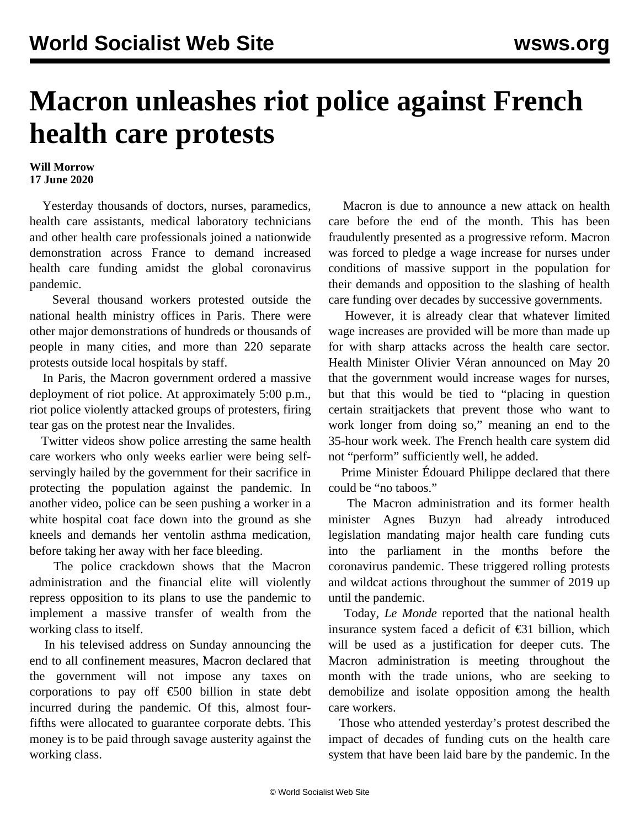## **Macron unleashes riot police against French health care protests**

## **Will Morrow 17 June 2020**

 Yesterday thousands of doctors, nurses, paramedics, health care assistants, medical laboratory technicians and other health care professionals joined a nationwide demonstration across France to demand increased health care funding amidst the global coronavirus pandemic.

 Several thousand workers protested outside the national health ministry offices in Paris. There were other major demonstrations of hundreds or thousands of people in many cities, and more than 220 separate protests outside local hospitals by staff.

 In Paris, the Macron government ordered a massive deployment of riot police. At approximately 5:00 p.m., riot police violently attacked groups of protesters, [firing](https://twitter.com/attac_fr/status/1272884970219077632?s=20) [tear gas](https://twitter.com/attac_fr/status/1272884970219077632?s=20) on the protest near the Invalides.

 Twitter videos show police [arresting](https://twitter.com/Gerrrty/status/1272910831156633601) the same health care workers who only weeks earlier were being selfservingly hailed by the government for their sacrifice in protecting the population against the pandemic. In another [video](https://twitter.com/RemyBuisine/status/1272935058630983681?s=20), police can be seen pushing a worker in a white hospital coat face down into the ground as she kneels and demands her ventolin asthma medication, before taking her away with her face bleeding.

 The police crackdown shows that the Macron administration and the financial elite will violently repress opposition to its plans to use the pandemic to implement a massive transfer of wealth from the working class to itself.

 In his televised address on Sunday announcing the end to all confinement measures, Macron [declared](/en/articles/2020/06/16/macr-j16.html) that the government will not impose any taxes on corporations to pay off €500 billion in state debt incurred during the pandemic. Of this, almost fourfifths were allocated to guarantee corporate debts. This money is to be paid through savage austerity against the working class.

 Macron is due to announce a new attack on health care before the end of the month. This has been fraudulently presented as a progressive reform. Macron was forced to pledge a wage increase for nurses under conditions of massive support in the population for their demands and opposition to the slashing of health care funding over decades by successive governments.

 However, it is already clear that whatever limited wage increases are provided will be more than made up for with sharp attacks across the health care sector. Health Minister Olivier Véran announced on May 20 that the government would increase wages for nurses, but that this would be tied to "placing in question certain straitjackets that prevent those who want to work longer from doing so," meaning an end to the 35-hour work week. The French health care system did not "perform" sufficiently well, he added.

 Prime Minister Édouard Philippe declared that there could be "no taboos."

 The Macron administration and its former health minister Agnes Buzyn had already introduced legislation mandating major health care funding cuts into the parliament in the months before the coronavirus pandemic. These triggered rolling protests and wildcat actions throughout the summer of 2019 up until the pandemic.

 Today, *Le Monde* reported that the national health insurance system faced a deficit of  $\epsilon$ 31 billion, which will be used as a justification for deeper cuts. The Macron administration is meeting throughout the month with the trade unions, who are seeking to demobilize and isolate opposition among the health care workers.

 Those who attended yesterday's protest described the impact of decades of funding cuts on the health care system that have been laid bare by the pandemic. In the